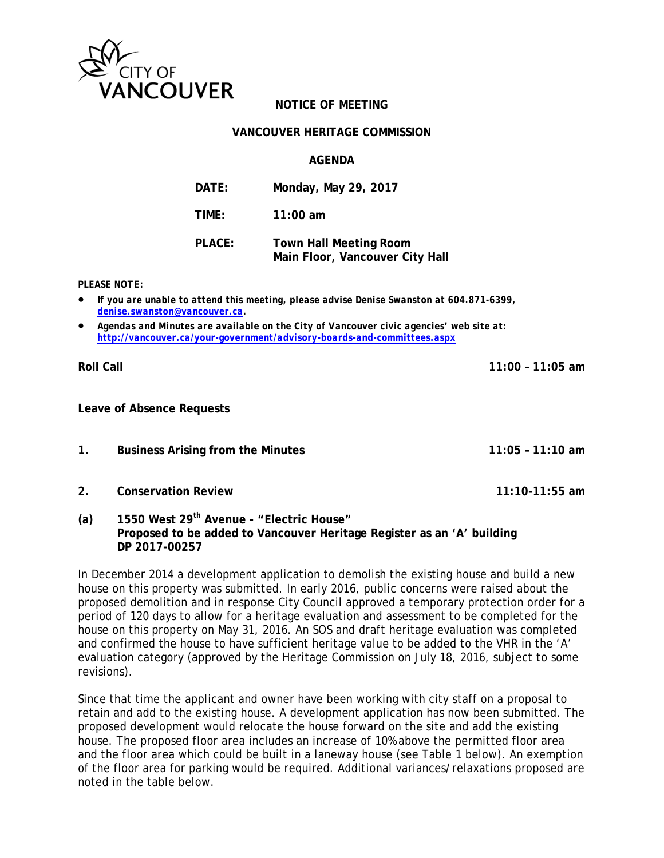

## **NOTICE OF MEETING**

## **VANCOUVER HERITAGE COMMISSION**

**AGENDA** 

| DATE:  | Monday, May 29, 2017                                             |
|--------|------------------------------------------------------------------|
| TIME:  | $11:00$ am                                                       |
| PLACE: | <b>Town Hall Meeting Room</b><br>Main Floor, Vancouver City Hall |

*PLEASE NOTE:* 

- *If you are unable to attend this meeting, please advise Denise Swanston at 604.871-6399, denise.swanston@vancouver.ca.*
- *Agendas and Minutes are available on the City of Vancouver civic agencies' web site at: http://vancouver.ca/your-government/advisory-boards-and-committees.aspx*

**Roll Call 11:00 – 11:05 am** 

**Leave of Absence Requests** 

- 
- **1. Business Arising from the Minutes 11:05 11:10 am**
- **2. Conservation Review 11:10-11:55 am**
- **(a) 1550 West 29th Avenue "Electric House" Proposed to be added to Vancouver Heritage Register as an 'A' building DP 2017-00257**

In December 2014 a development application to demolish the existing house and build a new house on this property was submitted. In early 2016, public concerns were raised about the proposed demolition and in response City Council approved a temporary protection order for a period of 120 days to allow for a heritage evaluation and assessment to be completed for the house on this property on May 31, 2016. An SOS and draft heritage evaluation was completed and confirmed the house to have sufficient heritage value to be added to the VHR in the 'A' evaluation category (approved by the Heritage Commission on July 18, 2016, subject to some revisions).

Since that time the applicant and owner have been working with city staff on a proposal to retain and add to the existing house. A development application has now been submitted. The proposed development would relocate the house forward on the site and add the existing house. The proposed floor area includes an increase of 10% above the permitted floor area and the floor area which could be built in a laneway house (see Table 1 below). An exemption of the floor area for parking would be required. Additional variances/relaxations proposed are noted in the table below.